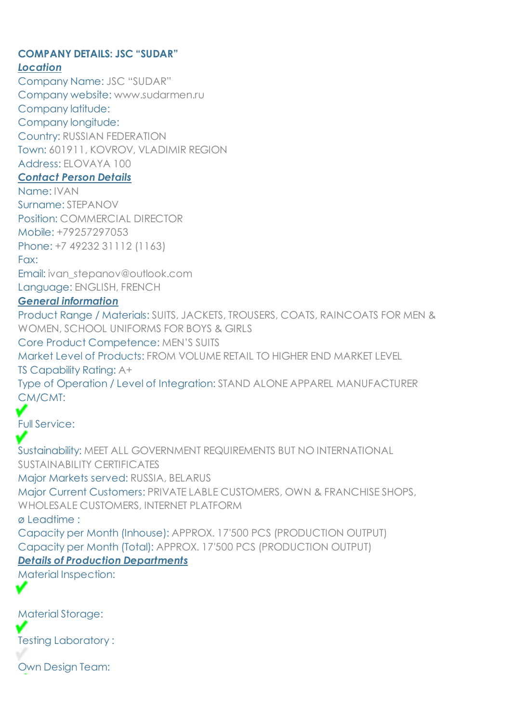# **COMPANY DETAILS: JSC "SUDAR"**

### *Location*

Company Name: JSC "SUDAR" Company website: www.sudarmen.ru Company latitude: Company longitude: Country: RUSSIAN FEDERATION Town: 601911, KOVROV, VLADIMIR REGION Address: ELOVAYA 100

### *Contact Person Details*

Name: IVAN Surname: STEPANOV Position: COMMERCIAL DIRECTOR Mobile: +79257297053 Phone: +7 49232 31112 (1163)

Fax:

Email: ivan\_stepanov@outlook.com Language: ENGLISH, FRENCH

### *General information*

Product Range / Materials: SUITS, JACKETS, TROUSERS, COATS, RAINCOATS FOR MEN & WOMEN, SCHOOL UNIFORMS FOR BOYS & GIRLS Core Product Competence: MEN'S SUITS Market Level of Products: FROM VOLUME RETAIL TO HIGHER END MARKET LEVEL TS Capability Rating: A+ Type of Operation / Level of Integration: STAND ALONE APPAREL MANUFACTURER CM/CMT:

Full Service:

Sustainability: MEET ALL GOVERNMENT REQUIREMENTS BUT NO INTERNATIONAL SUSTAINABILITY CERTIFICATES Major Markets served: RUSSIA, BELARUS Major Current Customers: PRIVATE LABLE CUSTOMERS, OWN & FRANCHISE SHOPS, WHOLESALE CUSTOMERS, INTERNET PLATFORM ø Leadtime : Capacity per Month (Inhouse): APPROX. 17'500 PCS (PRODUCTION OUTPUT) Capacity per Month (Total): APPROX. 17'500 PCS (PRODUCTION OUTPUT)

# *Details of Production Departments*

Material Inspection:

Material Storage:

v

Testing Laboratory :

Own Design Team: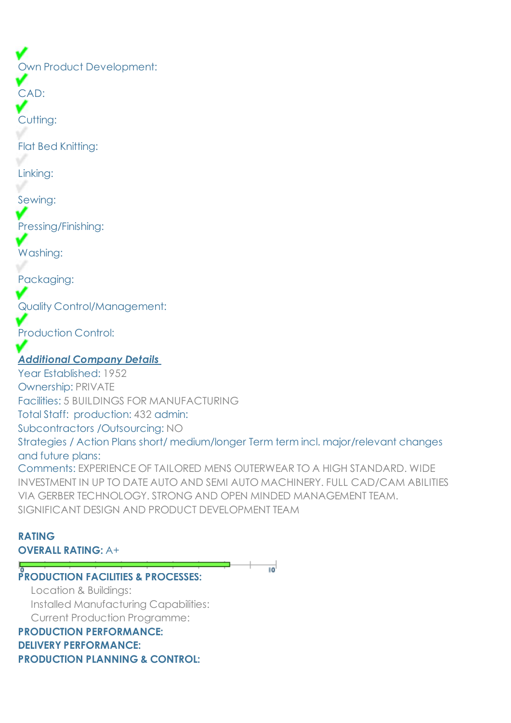Own Product Development:

CAD:

Cutting:

Flat Bed Knitting:

Linking:

Sewing:

Pressing/Finishing:

Washing:

Packaging:

Quality Control/Management:

Production Control:

# *Additional Company Details*

Year Established: 1952 Ownership: PRIVATE Facilities: 5 BUILDINGS FOR MANUFACTURING Total Staff: production: 432 admin: Subcontractors /Outsourcing: NO Strategies / Action Plans short/ medium/longer Term term incl. major/relevant changes and future plans: Comments: EXPERIENCE OF TAILORED MENS OUTERWEAR TO A HIGH STANDARD. WIDE INVESTMENT IN UP TO DATE AUTO AND SEMI AUTO MACHINERY. FULL CAD/CAM ABILITIES

VIA GERBER TECHNOLOGY. STRONG AND OPEN MINDED MANAGEMENT TEAM.

SIGNIFICANT DESIGN AND PRODUCT DEVELOPMENT TEAM

### **RATING OVERALL RATING:** A+

**PRODUCTION FACILITIES & PROCESSES:** TO<sup>1</sup>

 Location & Buildings: Installed Manufacturing Capabilities: Current Production Programme: **PRODUCTION PERFORMANCE:**

### **DELIVERY PERFORMANCE: PRODUCTION PLANNING & CONTROL:**